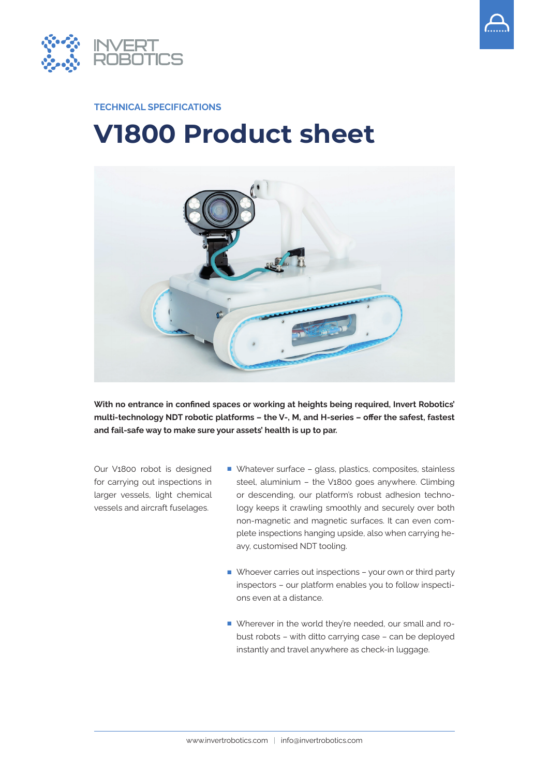



#### **TECHNICAL SPECIFICATIONS**

# **V1800 Product sheet**



**With no entrance in confined spaces or working at heights being required, Invert Robotics' multi-technology NDT robotic platforms – the V-, M, and H-series – offer the safest, fastest and fail-safe way to make sure your assets' health is up to par.**

Our V1800 robot is designed for carrying out inspections in larger vessels, light chemical vessels and aircraft fuselages.

- Whatever surface glass, plastics, composites, stainless steel, aluminium – the V1800 goes anywhere. Climbing or descending, our platform's robust adhesion technology keeps it crawling smoothly and securely over both non-magnetic and magnetic surfaces. It can even complete inspections hanging upside, also when carrying heavy, customised NDT tooling.
- Whoever carries out inspections your own or third party inspectors – our platform enables you to follow inspections even at a distance.
- Wherever in the world they're needed, our small and robust robots – with ditto carrying case – can be deployed instantly and travel anywhere as check-in luggage.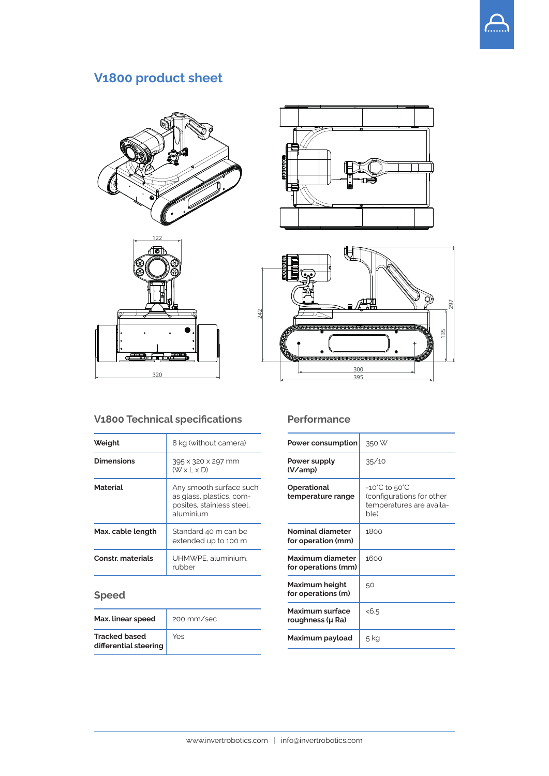

## **V1800 product sheet**









### **V1800 Technical specifications**

| Weight                   | 8 kg (without camera)                                                                         |
|--------------------------|-----------------------------------------------------------------------------------------------|
| <b>Dimensions</b>        | 395 x 320 x 297 mm<br>$(W \times L \times D)$                                                 |
| <b>Material</b>          | Any smooth surface such<br>as glass, plastics, com-<br>posites, stainless steel,<br>aluminium |
| <b>Max. cable length</b> | Standard 40 m can be<br>extended up to 100 m                                                  |
| <b>Constr.</b> materials | UHMWPE, aluminium.<br>rubber                                                                  |

## **Speed**

| Max. linear speed                             | 200 mm/sec |
|-----------------------------------------------|------------|
| <b>Tracked based</b><br>differential steering | Yes        |

#### **Performance**

| <b>Power consumption</b>                   | 350 W                                                                          |
|--------------------------------------------|--------------------------------------------------------------------------------|
| Power supply<br>(V/amp)                    | 35/10                                                                          |
| <b>Operational</b><br>temperature range    | -10°C to 50°C<br>(configurations for other<br>temperatures are availa-<br>ble) |
| Nominal diameter<br>for operation (mm)     | 1800                                                                           |
| Maximum diameter<br>for operations (mm)    | 1600                                                                           |
| Maximum height<br>for operations (m)       | 50                                                                             |
| <b>Maximum surface</b><br>roughness (µ Ra) | < 6.5                                                                          |
| Maximum payload                            | 5 kg                                                                           |